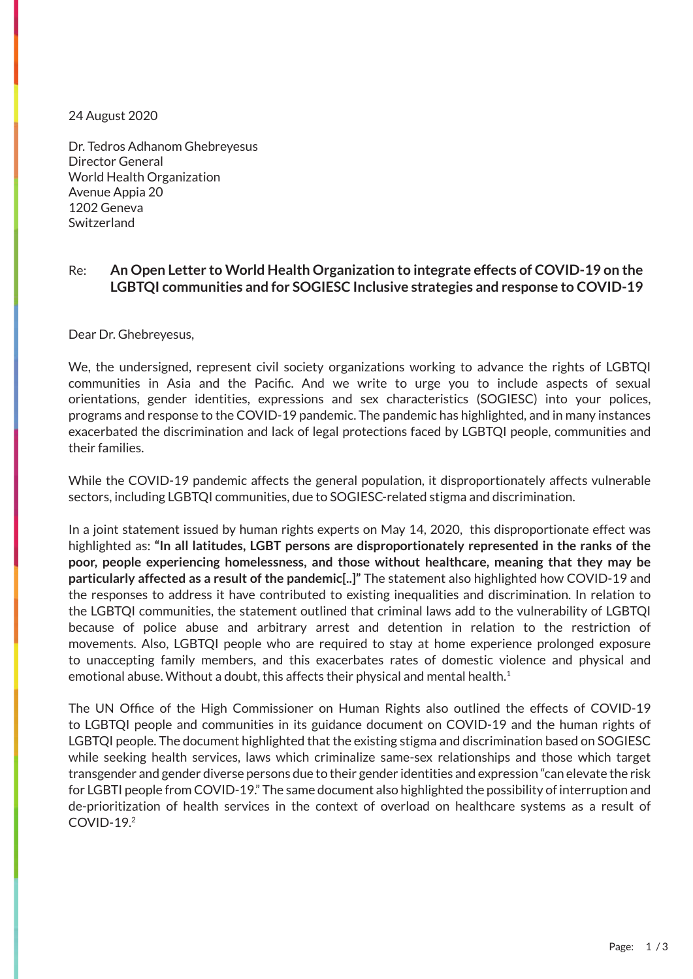24 August 2020

eneva<br>deneva  $m_{\tilde{\alpha}}$ Dr. Tedros Adhanom Ghebreyesus Director General World Health Organization Avenue Appia 20 1202 Geneva **Switzerland** 

## 䄀洀戀愀猀猀愀搀漀爀 漀昀 䄀倀䌀伀䴀 Re: **An Open Letter to World Health Organization to integrate effects of COVID-19 on the LGBTQI communities and for SOGIESC Inclusive strategies and response to COVID-19**

椀渀瘀椀琀攀 礀漀甀 琀漀 愀 搀椀渀渀攀爀 椀渀 栀漀渀漀甀爀 漀昀琀栀攀 䠀漀渀漀甀爀愀戀氀攀 䨀甀猀琀椀挀攀 Dear Dr. Ghebreyesus,

We, the undersigned, represent civil society organizations working to advance the rights of LGBTQI communities in Asia and the Pacific. And we write to urge you to include aspects of sexual exacerbated the discrimination and lack of legal protections faced by LGBTQI people, communities and milies. orientations, gender identities, expressions and sex characteristics (SOGIESC) into your polices, programs and response to the COVID-19 pandemic. The pandemic has highlighted, and in many instances their families.

While the COVID-19 pandemic affects the general population, it disproportionately affects vulnerable sectors, including LGBTQI communities, due to SOGIESC-related stigma and discrimination.

In a joint statement issued by human rights experts on May 14, 2020, this disproportionate effect was poor, people experiencing homelessness, and those without healthcare, meaning that they may be particularly affected as a result of the pandemic<sub>t</sub>. The statement also ingimgrited now COVID-17 and<br>the responses to address it have contributed to existing inequalities and discrimination. In relation to the LGBTQI communities, the statement outlined that criminal laws add to the vulnerability of LGBTQI because of police abuse and arbitrary arrest and detention in relation to the restriction of movements. This, EBTQ, people who are required to stay at nome experience protonged exposure to unaccepting family members, and this exacerbates rates of domestic violence and physical and emotional abuse. Without a doubt, this affects their physical and mental health.<sup>1</sup> highlighted as: **"In all latitudes, LGBT persons are disproportionately represented in the ranks of the particularly affected as a result of the pandemic[..]"** The statement also highlighted how COVID-19 and movements. Also, LGBTQI people who are required to stay at home experience prolonged exposure

to LGBTQI people and communities in its guidance document on COVID-19 and the human rights of LGBTQI people. The document highlighted that the existing stigma and discrimination based on SOGIESC while seeking health services, laws which criminalize same-sex relationships and those which target<br>transgender and gender diverse persons due to their gender identities and expression "can elevate the risk for LGBTI people from COVID-19." The same document also highlighted the possibility of interruption and **倀氀攀愀猀攀 刀匀嘀倀 戀礀** 吀栀甀爀猀搀愀礀 ㈀ 䴀愀爀挀栀 ㈀ ㈀ **戀礀 爀攀瀀氀礀椀渀最 琀漀** The UN Office of the High Commissioner on Human Rights also outlined the effects of COVID-19 while seeking health services, laws which criminalize same-sex relationships and those which target de-prioritization of health services in the context of overload on healthcare systems as a result of COVID-19.2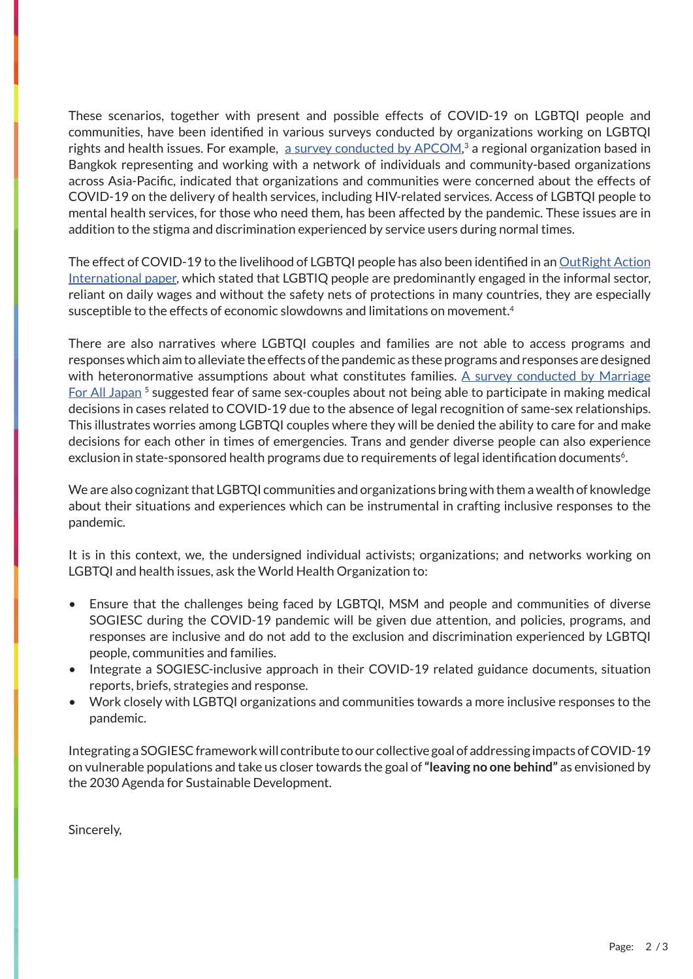mental health services, for those who need them, has been affected by the pandemic. These issues are in addition to the stigma and discrimination experienced by service users during normal times.<br> These scenarios, together with present and possible effects of COVID-19 on LGBTQI people and communities, have been identified in various surveys conducted by organizations working on LGBTQI rights and health issues. For example, [a survey conducted by APCOM](https://www.apcom.org/the-covid-19-effect-series-part-1/),<sup>3</sup> a regional organization based in Bangkok representing and working with a network of individuals and community-based organizations across Asia-Pacific, indicated that organizations and communities were concerned about the effects of COVID-19 on the delivery of health services, including HIV-related services. Access of LGBTQI people to

The effect of COVID-19 to the livelihood of LGBTQI people has also been identified in an <u>[OutRight Action](https://outrightinternational.org/sites/default/files/COVIDsReportDesign_FINAL_LR_0.pdf)</u> susceptible to the effects of economic slowdowns and limitations on movement. $4\,$ [International paper,](https://outrightinternational.org/sites/default/files/COVIDsReportDesign_FINAL_LR_0.pdf) which stated that LGBTIQ people are predominantly engaged in the informal sector, reliant on daily wages and without the safety nets of protections in many countries, they are especially

There are also narratives where LGBTQI couples and families are not able to access programs and responses which aim to alleviate the effects of the pandemic as these programs and responses are designed<br>responses which aim to alleviate the effects of the pandemic as these programs and responses are designed with neteronormative assumptions about what constitutes rammes. <u>A survey conducted by marriage</u><br>[For All Japan](https://www.buzzfeed.com/jp/saoriibuki/marriage-for-all-corona) <sup>5</sup> suggested fear of same sex-couples about not being able to participate in making medical This illustrates worries among LGBTQI couples where they will be denied the ability to care for and make<br>desigions for each other in times of emergencies. Trans and gender diverse neaple can also eventionse exclusion in state-sponsored health programs due to requirements of legal identification documents<sup>6</sup>. with heteronormative assumptions about what constitutes families. [A survey conducted by Marriage](https://www.buzzfeed.com/jp/saoriibuki/marriage-for-all-corona) decisions in cases related to COVID-19 due to the absence of legal recognition of same-sex relationships. decisions for each other in times of emergencies. Trans and gender diverse people can also experience

 $α<sub>π</sub>appa² μ<sub>π</sub>κ<sub>π</sub>κ<sub>π</sub>κ<sub>π</sub>κ<sub>π</sub>κ<sub>π</sub>κ<sub>π</sub>κ<sub>π</sub>κ<sub>π</sub>κ<sub>π</sub>κ<sub>π</sub>κ<sub>π</sub>κ<sub>π</sub>κ<sub>π</sub>κ<sub>π</sub>κ<sub>π</sub>κ<sub>π</sub>κ<sub>π</sub>κ<sub>π</sub>κ<sub>π</sub>κ<sub>π</sub>κ<sub>π</sub>κ<sub>π</sub>κ<sub>π</sub>κ<sub>π</sub>κ<sub>π</sub>κ$ vve are also cognizant that LGB i Qi communities and organizations bring with them a wealth or knowledge<br>about their situations and experiences which can be instrumental in crafting inclusive responses to the  $\eta$ ic. We are also cognizant that LGBTQI communities and organizations bring with them a wealth of knowledge pandemic.

ne is in this concert, we, the undersigned individual activists, organizations, and network<br>LGBTQI and health issues, ask the World Health Organization to: It is in this context, we, the undersigned individual activists; organizations; and networks working on

- Ensure that the challenges being faced by LGBTQI, MSM and people and communities of diverse<br>• EQGLESC during the COVID 19 peodemic will be given due attention, and pelicies pregrams, and responses are inclusive and do not add to the exclusion and discrimination experienced by LGBTQI people, communities and families. SOGIESC during the COVID-19 pandemic will be given due attention, and policies, programs, and
- Integrate a SOGIESC-inclusive approach in their COVID-19 related guidance documents, situation reports briefs strategies and response reports, briefs, strategies and response.
- $\blacksquare$ • Work closely with LGBTQI organizations and communities towards a more inclusive responses to the pandemic.

吀椀洀攀㨀 㠀㨀 ጠ ㈀ 㨀 Integrating a SOGIESC framework will contribute to our collective goal of addressing impacts of COVID-19 on vulnerable populations and take us closer towards the goal of **"leaving no one behind"** as envisioned by *㠀 圀椀爀攀氀攀猀猀 刀漀愀搀 䈀愀渀最欀漀欀 ㌀㌀*  the 2030 Agenda for Sustainable Development.

**倀氀攀愀猀攀 刀匀嘀倀 戀礀** 吀栀甀爀猀搀愀礀 ㈀ 䴀愀爀挀栀 ㈀ ㈀ **戀礀 爀攀瀀氀礀椀渀最 琀漀** Sincerely,